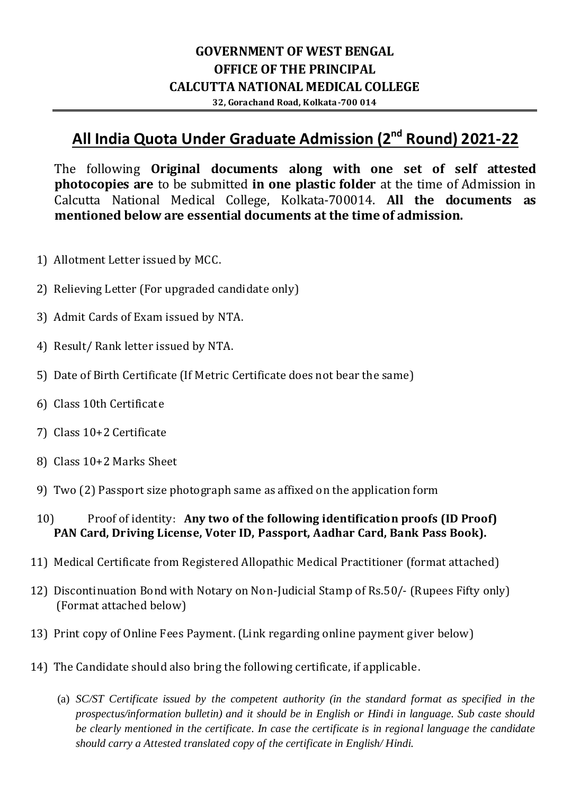# **GOVERNMENT OF WEST BENGAL OFFICE OF THE PRINCIPAL CALCUTTA NATIONAL MEDICAL COLLEGE**

**32, Gorachand Road, Kolkata-700 014**

# **All India Quota Under Graduate Admission (2<sup>nd</sup> Round) 2021-22**

The following **Original documents along with one set of self attested photocopies are** to be submitted **in one plastic folder** at the time of Admission in Calcutta National Medical College, Kolkata-700014. **All the documents as mentioned below are essential documents at the time of admission.**

- 1) Allotment Letter issued by MCC.
- 2) Relieving Letter (For upgraded candidate only)
- 3) Admit Cards of Exam issued by NTA.
- 4) Result/ Rank letter issued by NTA.
- 5) Date of Birth Certificate (If Metric Certificate does not bear the same)
- 6) Class 10th Certificate
- 7) Class 10+2 Certificate
- 8) Class 10+2 Marks Sheet
- 9) Two (2) Passport size photograph same as affixed on the application form
- 10) Proof of identity: **Any two of the following identification proofs (ID Proof) PAN Card, Driving License, Voter ID, Passport, Aadhar Card, Bank Pass Book).**
- 11) Medical Certificate from Registered Allopathic Medical Practitioner (format attached)
- 12) Discontinuation Bond with Notary on Non-Judicial Stamp of Rs.50/- (Rupees Fifty only) (Format attached below)
- 13) Print copy of Online Fees Payment. (Link regarding online payment giver below)
- 14) The Candidate should also bring the following certificate, if applicable.
	- (a) *SC/ST Certificate issued by the competent authority (in the standard format as specified in the prospectus/information bulletin) and it should be in English or Hindi in language. Sub caste should be clearly mentioned in the certificate. In case the certificate is in regional language the candidate should carry a Attested translated copy of the certificate in English/ Hindi.*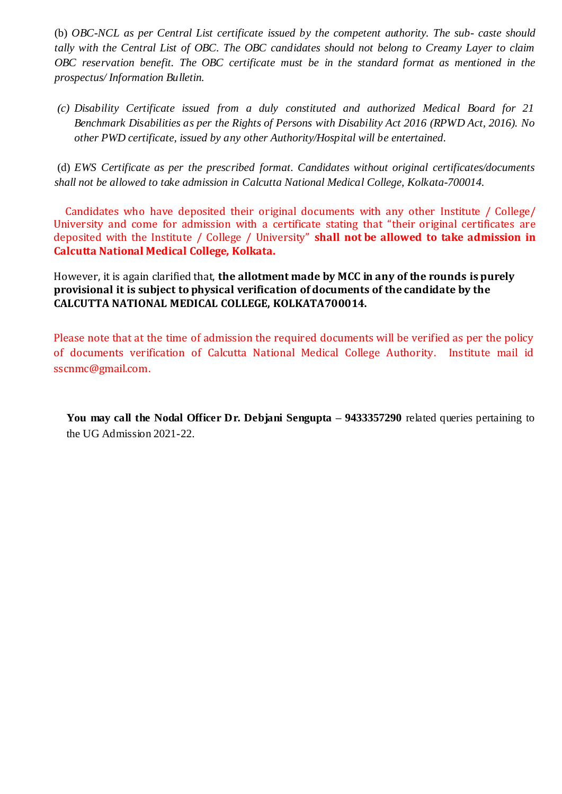(b) *OBC-NCL as per Central List certificate issued by the competent authority. The sub- caste should tally with the Central List of OBC. The OBC candidates should not belong to Creamy Layer to claim OBC reservation benefit. The OBC certificate must be in the standard format as mentioned in the prospectus/ Information Bulletin.*

*(c) Disability Certificate issued from a duly constituted and authorized Medical Board for 21 Benchmark Disabilities as per the Rights of Persons with Disability Act 2016 (RPWD Act, 2016). No other PWD certificate, issued by any other Authority/Hospital will be entertained.*

(d) *EWS Certificate as per the prescribed format. Candidates without original certificates/documents shall not be allowed to take admission in Calcutta National Medical College, Kolkata-700014.*

 Candidates who have deposited their original documents with any other Institute / College/ University and come for admission with a certificate stating that "their original certificates are deposited with the Institute / College / University" **shall not be allowed to take admission in Calcutta National Medical College, Kolkata.** 

However, it is again clarified that, **the allotment made by MCC in any of the rounds is purely provisional it is subject to physical verification of documents of the candidate by the CALCUTTA NATIONAL MEDICAL COLLEGE, KOLKATA700014.**

Please note that at the time of admission the required documents will be verified as per the policy of documents verification of Calcutta National Medical College Authority. Institute mail id sscnmc@gmail.com.

**You may call the Nodal Officer Dr. Debjani Sengupta – 9433357290** related queries pertaining to the UG Admission 2021-22.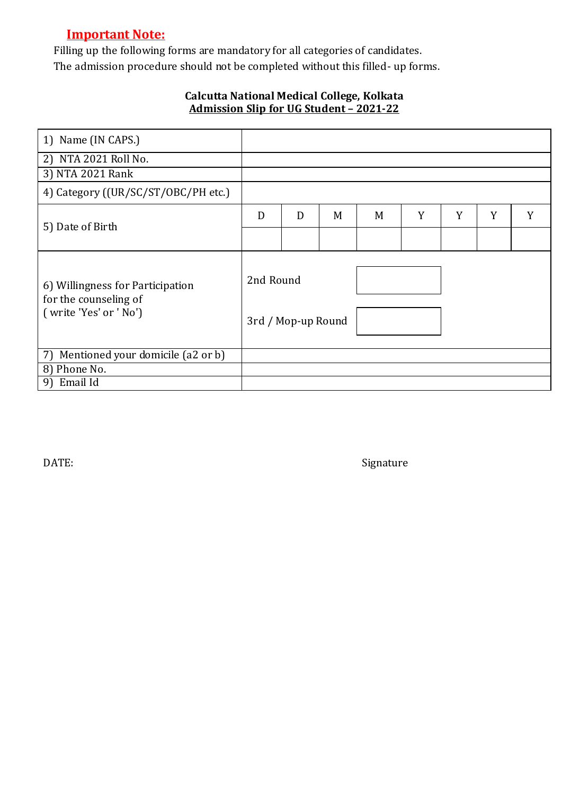# **Important Note:**

Filling up the following forms are mandatory for all categories of candidates. The admission procedure should not be completed without this filled- up forms.

### **Calcutta National Medical College, Kolkata Admission Slip for UG Student – 2021-22**

| 1) Name (IN CAPS.)                                                                  |           |                    |   |   |   |   |   |   |
|-------------------------------------------------------------------------------------|-----------|--------------------|---|---|---|---|---|---|
| 2) NTA 2021 Roll No.                                                                |           |                    |   |   |   |   |   |   |
| 3) NTA 2021 Rank                                                                    |           |                    |   |   |   |   |   |   |
| 4) Category ((UR/SC/ST/OBC/PH etc.)                                                 |           |                    |   |   |   |   |   |   |
| 5) Date of Birth                                                                    | D         | D                  | M | M | Y | Y | Y | Y |
|                                                                                     |           |                    |   |   |   |   |   |   |
| 6) Willingness for Participation<br>for the counseling of<br>(write 'Yes' or ' No') | 2nd Round | 3rd / Mop-up Round |   |   |   |   |   |   |
| Mentioned your domicile (a2 or b)<br>7)                                             |           |                    |   |   |   |   |   |   |
| 8) Phone No.                                                                        |           |                    |   |   |   |   |   |   |
| Email Id<br>9)                                                                      |           |                    |   |   |   |   |   |   |

DATE: Signature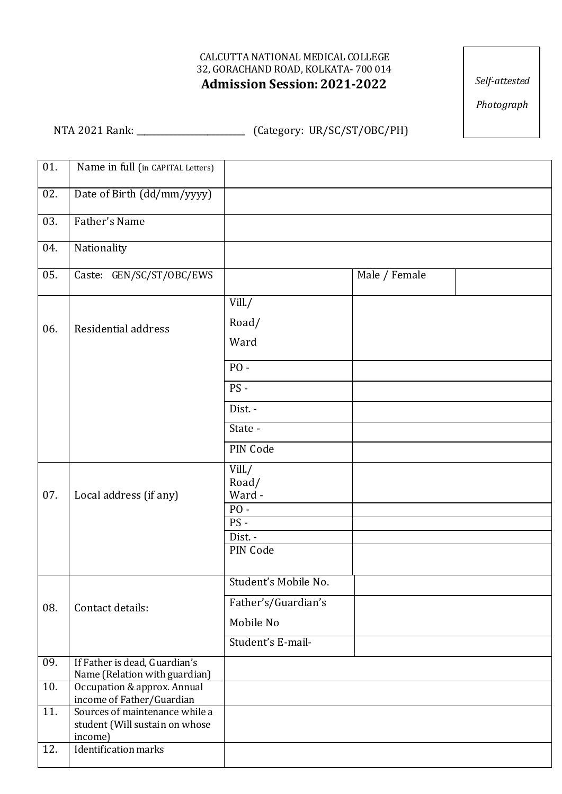#### CALCUTTA NATIONAL MEDICAL COLLEGE 32, GORACHAND ROAD, KOLKATA- 700 014  **Admission Session:2021-2022**

*Self-attested*

*Photograph*

NTA 2021 Rank: \_\_\_\_\_\_\_\_\_\_\_\_\_\_\_\_\_\_\_\_\_\_\_\_\_\_ (Category: UR/SC/ST/OBC/PH)

| 01. | Name in full (in CAPITAL Letters)                                           |                                                                               |               |  |
|-----|-----------------------------------------------------------------------------|-------------------------------------------------------------------------------|---------------|--|
| 02. | Date of Birth (dd/mm/yyyy)                                                  |                                                                               |               |  |
| 03. | Father's Name                                                               |                                                                               |               |  |
| 04. | Nationality                                                                 |                                                                               |               |  |
| 05. | Caste: GEN/SC/ST/OBC/EWS                                                    |                                                                               | Male / Female |  |
| 06. | Residential address                                                         | Vill. $/$<br>Road/<br>Ward<br><b>PO-</b><br>PS-                               |               |  |
|     |                                                                             | Dist. -<br>State -<br>PIN Code                                                |               |  |
| 07. | Local address (if any)                                                      | Vill./<br>Road/<br>Ward -<br>$PO -$<br>$PS -$<br>Dist. -<br>PIN Code          |               |  |
| 08. | Contact details:                                                            | Student's Mobile No.<br>Father's/Guardian's<br>Mobile No<br>Student's E-mail- |               |  |
| 09. | If Father is dead, Guardian's<br>Name (Relation with guardian)              |                                                                               |               |  |
| 10. | Occupation & approx. Annual<br>income of Father/Guardian                    |                                                                               |               |  |
| 11. | Sources of maintenance while a<br>student (Will sustain on whose<br>income) |                                                                               |               |  |
| 12. | <b>Identification marks</b>                                                 |                                                                               |               |  |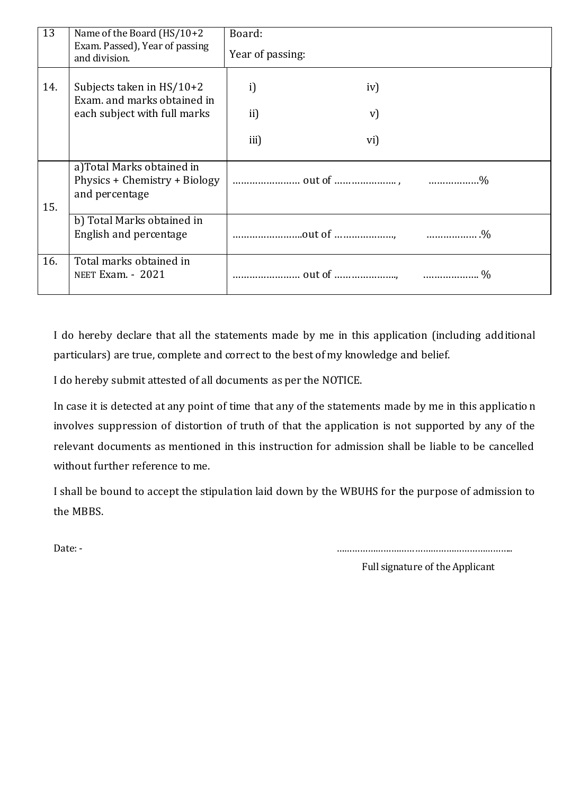| 13  | Name of the Board $(HS/10+2)$<br>Exam. Passed), Year of passing<br>and division.           | Board:<br>Year of passing: |     |      |
|-----|--------------------------------------------------------------------------------------------|----------------------------|-----|------|
| 14. | Subjects taken in $HS/10+2$<br>Exam. and marks obtained in<br>each subject with full marks | i)                         | iv) |      |
|     |                                                                                            | ii)                        | V)  |      |
|     |                                                                                            | iii)                       | vi) |      |
| 15. | a)Total Marks obtained in<br>Physics + Chemistry + Biology<br>and percentage               |                            |     |      |
|     | b) Total Marks obtained in<br>English and percentage                                       |                            |     |      |
| 16. | Total marks obtained in<br><b>NEET Exam. - 2021</b>                                        |                            |     | $\%$ |

I do hereby declare that all the statements made by me in this application (including additional particulars) are true, complete and correct to the best of my knowledge and belief.

I do hereby submit attested of all documents as per the NOTICE.

In case it is detected at any point of time that any of the statements made by me in this applicatio n involves suppression of distortion of truth of that the application is not supported by any of the relevant documents as mentioned in this instruction for admission shall be liable to be cancelled without further reference to me.

I shall be bound to accept the stipulation laid down by the WBUHS for the purpose of admission to the MBBS.

Date: - …………………………………………………………..

Full signature of the Applicant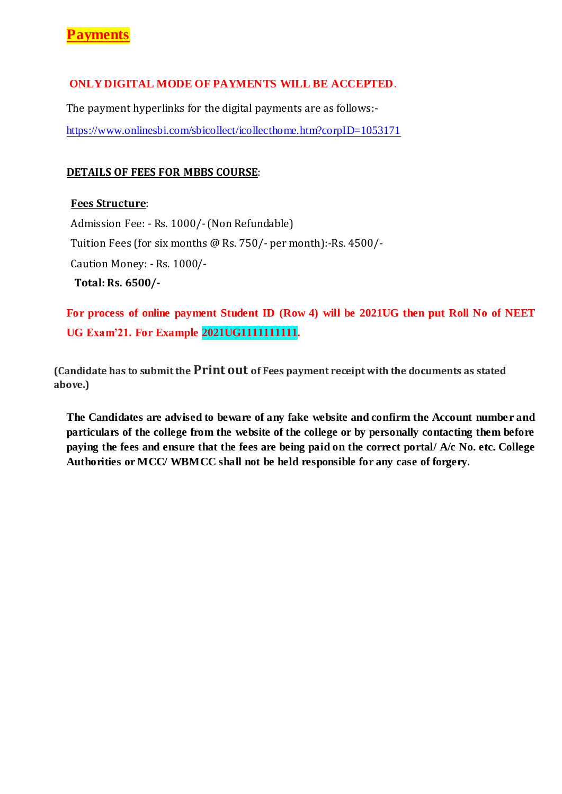### **ONLY DIGITAL MODE OF PAYMENTS WILL BE ACCEPTED**.

The payment hyperlinks for the digital payments are as follows: <https://www.onlinesbi.com/sbicollect/icollecthome.htm?corpID=1053171>

#### **DETAILS OF FEES FOR MBBS COURSE**:

#### **Fees Structure**:

Admission Fee: - Rs. 1000/-(Non Refundable) Tuition Fees (for six months @ Rs. 750/- per month):-Rs. 4500/- Caution Money: - Rs. 1000/- **Total: Rs. 6500/-**

**For process of online payment Student ID (Row 4) will be 2021UG then put Roll No of NEET UG Exam'21. For Example 2021UG1111111111.**

**(Candidate has to submit the Print out of Fees payment receipt with the documents as stated above.)**

**The Candidates are advised to beware of any fake website and confirm the Account number and particulars of the college from the website of the college or by personally contacting them before paying the fees and ensure that the fees are being paid on the correct portal/ A/c No. etc. College Authorities or MCC/ WBMCC shall not be held responsible for any case of forgery.**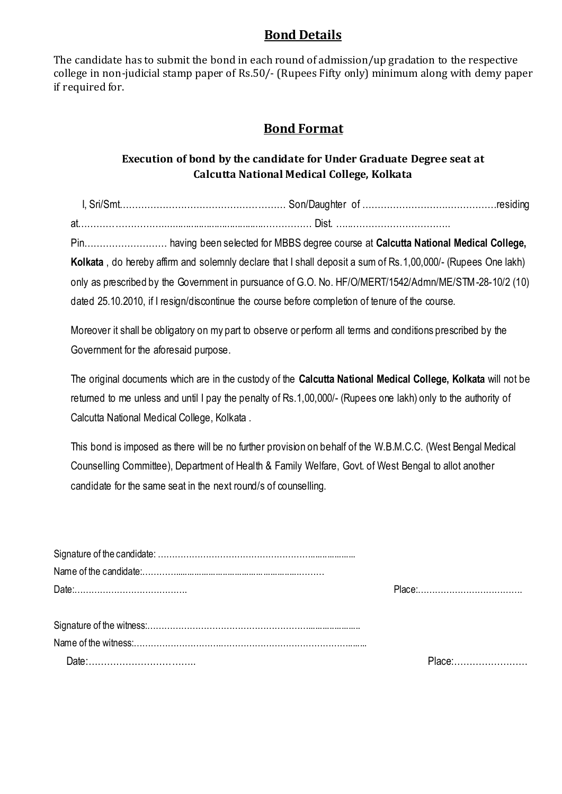# **Bond Details**

The candidate has to submit the bond in each round of admission/up gradation to the respective college in non-judicial stamp paper of Rs.50/- (Rupees Fifty only) minimum along with demy paper if required for.

# **Bond Format**

## **Execution of bond by the candidate for Under Graduate Degree seat at Calcutta National Medical College, Kolkata**

| പ |  |  |
|---|--|--|

Pin……………………… having been selected for MBBS degree course at **Calcutta National Medical College, Kolkata** , do hereby affirm and solemnly declare that I shall deposit a sum of Rs.1,00,000/- (Rupees One lakh) only as prescribed by the Government in pursuance of G.O. No. HF/O/MERT/1542/Admn/ME/STM-28-10/2 (10) dated 25.10.2010, if I resign/discontinue the course before completion of tenure of the course.

Moreover it shall be obligatory on my part to observe or perform all terms and conditions prescribed by the Government for the aforesaid purpose.

The original documents which are in the custody of the **Calcutta National Medical College, Kolkata** will not be returned to me unless and until I pay the penalty of Rs.1,00,000/- (Rupees one lakh) only to the authority of Calcutta National Medical College, Kolkata .

This bond is imposed as there will be no further provision on behalf of the W.B.M.C.C. (West Bengal Medical Counselling Committee), Department of Health & Family Welfare, Govt. of West Bengal to allot another candidate for the same seat in the next round/s of counselling.

| Place: |
|--------|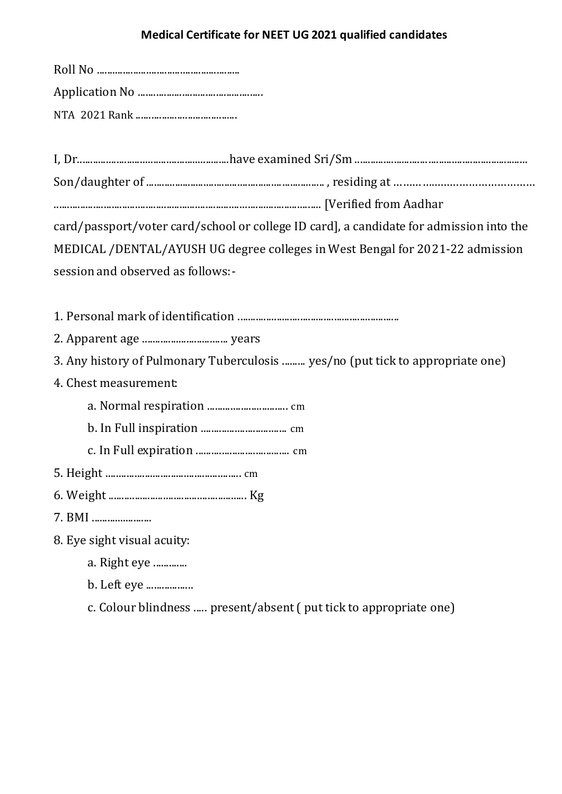## **Medical Certificate for NEET UG 2021 qualified candidates**

I, Dr..........................................................have examined Sri/Sm .................................................................. Son/daughter of .................................................................... , residing at ………….….….……………………

...................................................................................................... [Verified from Aadhar

card/passport/voter card/school or college ID card], a candidate for admission into the MEDICAL /DENTAL/AYUSH UG degree colleges in West Bengal for 2021-22 admission session and observed as follows:-

1. Personal mark of identification ..............................................................

2. Apparent age ................................. years

3. Any history of Pulmonary Tuberculosis ......... yes/no (put tick to appropriate one)

- 4. Chest measurement:
	- a. Normal respiration ............................... cm
	- b. In Full inspiration ................................. cm
	- c. In Full expiration .................................... cm
- 5. Height .................................................... cm
- 6. Weight ..................................................... Kg
- 7. BMI .......................

8. Eye sight visual acuity:

- a. Right eye .............
- b. Left eye ..................
- c. Colour blindness ..... present/absent ( put tick to appropriate one)